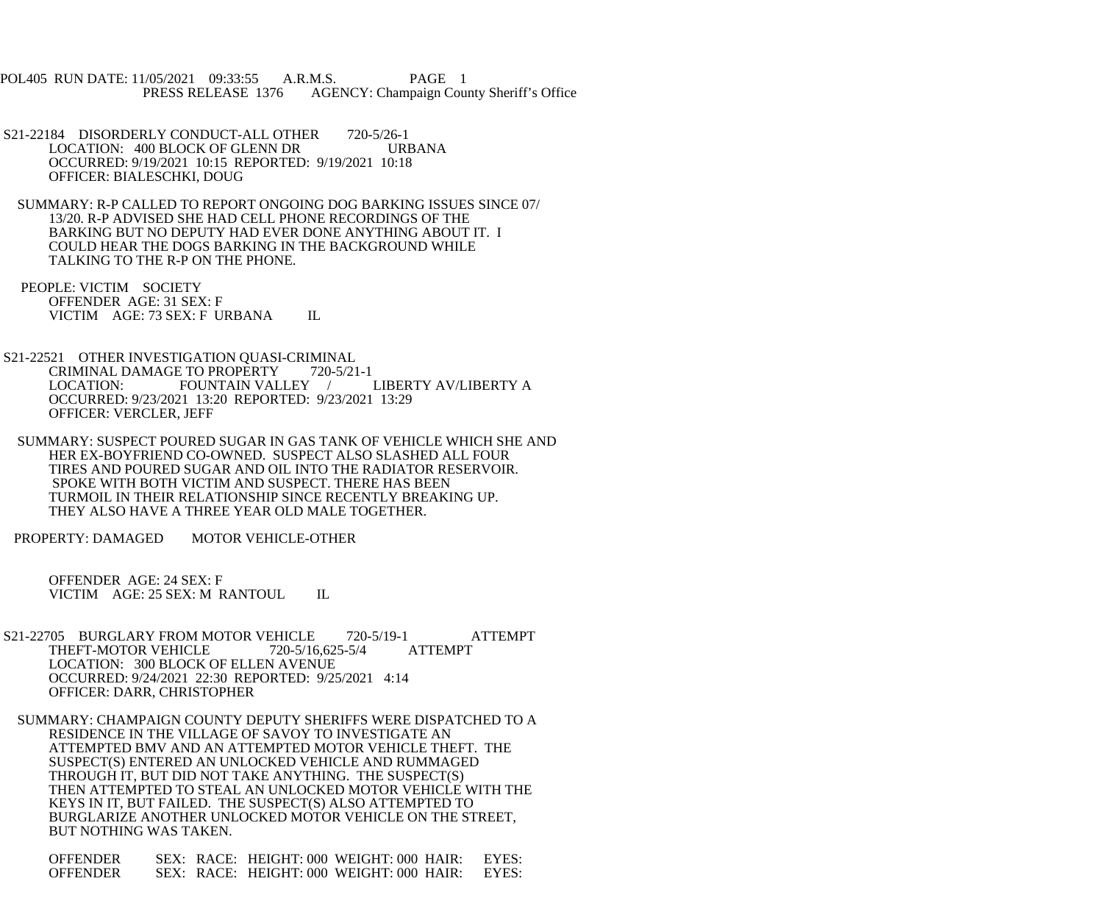POL405 RUN DATE: 11/05/2021 09:33:55 A.R.M.S. PAGE 1<br>PRESS RELEASE 1376 AGENCY: Champaign Cou AGENCY: Champaign County Sheriff's Office

- S21-22184 DISORDERLY CONDUCT-ALL OTHER 720-5/26-1<br>LOCATION: 400 BLOCK OF GLENN DR URBANA LOCATION: 400 BLOCK OF GLENN DR OCCURRED: 9/19/2021 10:15 REPORTED: 9/19/2021 10:18 OFFICER: BIALESCHKI, DOUG
- SUMMARY: R-P CALLED TO REPORT ONGOING DOG BARKING ISSUES SINCE 07/ 13/20. R-P ADVISED SHE HAD CELL PHONE RECORDINGS OF THE BARKING BUT NO DEPUTY HAD EVER DONE ANYTHING ABOUT IT. I COULD HEAR THE DOGS BARKING IN THE BACKGROUND WHILE TALKING TO THE R-P ON THE PHONE.
- PEOPLE: VICTIM SOCIETY OFFENDER AGE: 31 SEX: F VICTIM AGE: 73 SEX: F URBANA IL
- S21-22521 OTHER INVESTIGATION QUASI-CRIMINAL<br>CRIMINAL DAMAGE TO PROPERTY 720-5/21-1 CRIMINAL DAMAGE TO PROPERTY 720-5/21-1<br>LOCATION: FOUNTAIN VALLEY / LIBERTY AV/LIBERTY A FOUNTAIN VALLEY / OCCURRED: 9/23/2021 13:20 REPORTED: 9/23/2021 13:29 OFFICER: VERCLER, JEFF
- SUMMARY: SUSPECT POURED SUGAR IN GAS TANK OF VEHICLE WHICH SHE AND HER EX-BOYFRIEND CO-OWNED. SUSPECT ALSO SLASHED ALL FOUR TIRES AND POURED SUGAR AND OIL INTO THE RADIATOR RESERVOIR. SPOKE WITH BOTH VICTIM AND SUSPECT. THERE HAS BEEN TURMOIL IN THEIR RELATIONSHIP SINCE RECENTLY BREAKING UP. THEY ALSO HAVE A THREE YEAR OLD MALE TOGETHER.
- PROPERTY: DAMAGED MOTOR VEHICLE-OTHER

 OFFENDER AGE: 24 SEX: F VICTIM AGE: 25 SEX: M RANTOUL IL

- S21-22705 BURGLARY FROM MOTOR VEHICLE 720-5/19-1 ATTEMPT<br>THEFT-MOTOR VEHICLE 720-5/16,625-5/4 ATTEMPT THEFT-MOTOR VEHICLE LOCATION: 300 BLOCK OF ELLEN AVENUE OCCURRED: 9/24/2021 22:30 REPORTED: 9/25/2021 4:14 OFFICER: DARR, CHRISTOPHER
- SUMMARY: CHAMPAIGN COUNTY DEPUTY SHERIFFS WERE DISPATCHED TO A RESIDENCE IN THE VILLAGE OF SAVOY TO INVESTIGATE AN ATTEMPTED BMV AND AN ATTEMPTED MOTOR VEHICLE THEFT. THE SUSPECT(S) ENTERED AN UNLOCKED VEHICLE AND RUMMAGED THROUGH IT, BUT DID NOT TAKE ANYTHING. THE SUSPECT(S) THEN ATTEMPTED TO STEAL AN UNLOCKED MOTOR VEHICLE WITH THE KEYS IN IT, BUT FAILED. THE SUSPECT(S) ALSO ATTEMPTED TO BURGLARIZE ANOTHER UNLOCKED MOTOR VEHICLE ON THE STREET, BUT NOTHING WAS TAKEN.

| <b>OFFENDER</b> |  | SEX: RACE: HEIGHT: 000 WEIGHT: 000 HAIR: | EYES: |
|-----------------|--|------------------------------------------|-------|
| <b>OFFENDER</b> |  | SEX: RACE: HEIGHT: 000 WEIGHT: 000 HAIR: | EYES: |